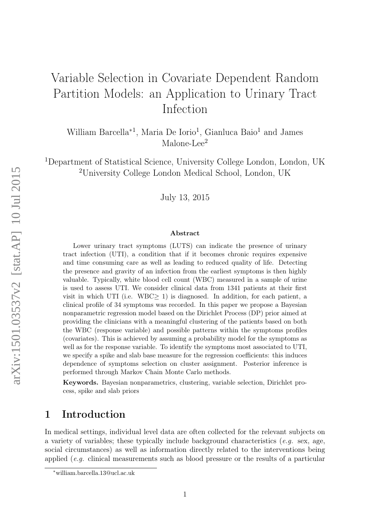# Variable Selection in Covariate Dependent Random Partition Models: an Application to Urinary Tract Infection

William Barcella<sup>∗1</sup>, Maria De Iorio<sup>1</sup>, Gianluca Baio<sup>1</sup> and James Malone-Lee<sup>2</sup>

<sup>1</sup>Department of Statistical Science, University College London, London, UK <sup>2</sup>University College London Medical School, London, UK

July 13, 2015

#### Abstract

Lower urinary tract symptoms (LUTS) can indicate the presence of urinary tract infection (UTI), a condition that if it becomes chronic requires expensive and time consuming care as well as leading to reduced quality of life. Detecting the presence and gravity of an infection from the earliest symptoms is then highly valuable. Typically, white blood cell count (WBC) measured in a sample of urine is used to assess UTI. We consider clinical data from 1341 patients at their first visit in which UTI (i.e. WBC $\geq$  1) is diagnosed. In addition, for each patient, a clinical profile of 34 symptoms was recorded. In this paper we propose a Bayesian nonparametric regression model based on the Dirichlet Process (DP) prior aimed at providing the clinicians with a meaningful clustering of the patients based on both the WBC (response variable) and possible patterns within the symptoms profiles (covariates). This is achieved by assuming a probability model for the symptoms as well as for the response variable. To identify the symptoms most associated to UTI, we specify a spike and slab base measure for the regression coefficients: this induces dependence of symptoms selection on cluster assignment. Posterior inference is performed through Markov Chain Monte Carlo methods.

Keywords. Bayesian nonparametrics, clustering, variable selection, Dirichlet process, spike and slab priors

# <span id="page-0-0"></span>1 Introduction

In medical settings, individual level data are often collected for the relevant subjects on a variety of variables; these typically include background characteristics  $(e.g.$  sex, age, social circumstances) as well as information directly related to the interventions being applied (e.g. clinical measurements such as blood pressure or the results of a particular

<sup>∗</sup>william.barcella.13@ucl.ac.uk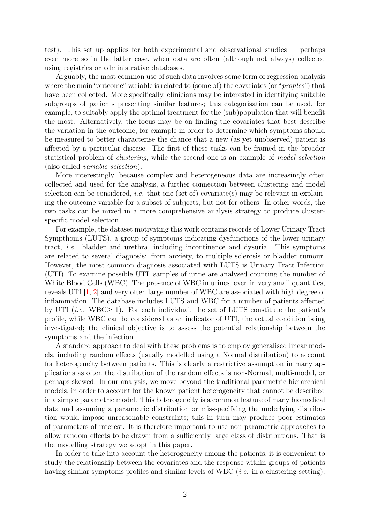test). This set up applies for both experimental and observational studies — perhaps even more so in the latter case, when data are often (although not always) collected using registries or administrative databases.

Arguably, the most common use of such data involves some form of regression analysis where the main "outcome" variable is related to (some of) the covariates (or "*profiles*") that have been collected. More specifically, clinicians may be interested in identifying suitable subgroups of patients presenting similar features; this categorisation can be used, for example, to suitably apply the optimal treatment for the (sub)population that will benefit the most. Alternatively, the focus may be on finding the covariates that best describe the variation in the outcome, for example in order to determine which symptoms should be measured to better characterise the chance that a new (as yet unobserved) patient is affected by a particular disease. The first of these tasks can be framed in the broader statistical problem of clustering, while the second one is an example of model selection (also called variable selection).

More interestingly, because complex and heterogeneous data are increasingly often collected and used for the analysis, a further connection between clustering and model selection can be considered, *i.e.* that one (set of) covariate(s) may be relevant in explaining the outcome variable for a subset of subjects, but not for others. In other words, the two tasks can be mixed in a more comprehensive analysis strategy to produce clusterspecific model selection.

For example, the dataset motivating this work contains records of Lower Urinary Tract Sympthoms (LUTS), a group of symptoms indicating dysfunctions of the lower urinary tract, i.e. bladder and urethra, including incontinence and dysuria. This symptoms are related to several diagnosis: from anxiety, to multiple sclerosis or bladder tumour. However, the most common diagnosis associated with LUTS is Urinary Tract Infection (UTI). To examine possible UTI, samples of urine are analysed counting the number of White Blood Cells (WBC). The presence of WBC in urines, even in very small quantities, reveals UTI [\[1,](#page-21-0) [2\]](#page-21-1) and very often large number of WBC are associated with high degree of inflammation. The database includes LUTS and WBC for a number of patients affected by UTI (*i.e.* WBC $> 1$ ). For each individual, the set of LUTS constitute the patient's profile, while WBC can be considered as an indicator of UTI, the actual condition being investigated; the clinical objective is to assess the potential relationship between the symptoms and the infection.

A standard approach to deal with these problems is to employ generalised linear models, including random effects (usually modelled using a Normal distribution) to account for heterogeneity between patients. This is clearly a restrictive assumption in many applications as often the distribution of the random effects is non-Normal, multi-modal, or perhaps skewed. In our analysis, we move beyond the traditional parametric hierarchical models, in order to account for the known patient heterogeneity that cannot be described in a simple parametric model. This heterogeneity is a common feature of many biomedical data and assuming a parametric distribution or mis-specifying the underlying distribution would impose unreasonable constraints; this in turn may produce poor estimates of parameters of interest. It is therefore important to use non-parametric approaches to allow random effects to be drawn from a sufficiently large class of distributions. That is the modelling strategy we adopt in this paper.

In order to take into account the heterogeneity among the patients, it is convenient to study the relationship between the covariates and the response within groups of patients having similar symptoms profiles and similar levels of WBC *(i.e.* in a clustering setting).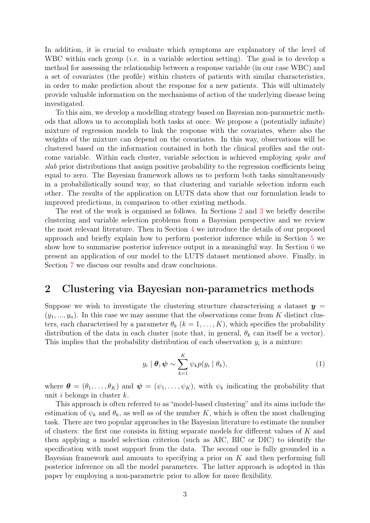In addition, it is crucial to evaluate which symptoms are explanatory of the level of WBC within each group *(i.e.* in a variable selection setting). The goal is to develop a method for assessing the relationship between a response variable (in our case WBC) and a set of covariates (the profile) within clusters of patients with similar characteristics, in order to make prediction about the response for a new patients. This will ultimately provide valuable information on the mechanisms of action of the underlying disease being investigated.

To this aim, we develop a modelling strategy based on Bayesian non-parametric methods that allows us to accomplish both tasks at once. We propose a (potentially infinite) mixture of regression models to link the response with the covariates, where also the weights of the mixture can depend on the covariates. In this way, observations will be clustered based on the information contained in both the clinical profiles and the outcome variable. Within each cluster, variable selection is achieved employing spike and slab prior distributions that assign positive probability to the regression coefficients being equal to zero. The Bayesian framework allows us to perform both tasks simultaneously in a probabilistically sound way, so that clustering and variable selection inform each other. The results of the application on LUTS data show that our formulation leads to improved predictions, in comparison to other existing methods.

The rest of the work is organised as follows. In Sections [2](#page-2-0) and [3](#page-4-0) we briefly describe clustering and variable selection problems from a Bayesian perspective and we review the most relevant literature. Then in Section [4](#page-6-0) we introduce the details of our proposed approach and briefly explain how to perform posterior inference while in Section [5](#page-8-0) we show how to summarise posterior inference output in a meaningful way. In Section [6](#page-9-0) we present an application of our model to the LUTS dataset mentioned above. Finally, in Section [7](#page-17-0) we discuss our results and draw conclusions.

# <span id="page-2-0"></span>2 Clustering via Bayesian non-parametrics methods

Suppose we wish to investigate the clustering structure characterising a dataset  $y =$  $(y_1, ..., y_n)$ . In this case we may assume that the observations come from K distinct clusters, each characterised by a parameter  $\theta_k$   $(k = 1, ..., K)$ , which specifies the probability distribution of the data in each cluster (note that, in general,  $\theta_k$  can itself be a vector). This implies that the probability distribution of each observation  $y_i$  is a mixture:

<span id="page-2-1"></span>
$$
y_i \mid \boldsymbol{\theta}, \boldsymbol{\psi} \sim \sum_{k=1}^K \psi_k p(y_i \mid \theta_k), \qquad (1)
$$

where  $\boldsymbol{\theta} = (\theta_1, \dots, \theta_K)$  and  $\boldsymbol{\psi} = (\psi_1, \dots, \psi_K)$ , with  $\psi_k$  indicating the probability that unit i belongs in cluster  $k$ .

This approach is often referred to as "model-based clustering" and its aims include the estimation of  $\psi_k$  and  $\theta_k$ , as well as of the number K, which is often the most challenging task. There are two popular approaches in the Bayesian literature to estimate the number of clusters: the first one consists in fitting separate models for different values of K and then applying a model selection criterion (such as AIC, BIC or DIC) to identify the specification with most support from the data. The second one is fully grounded in a Bayesian framework and amounts to specifying a prior on K and then performing full posterior inference on all the model parameters. The latter approach is adopted in this paper by employing a non-parametric prior to allow for more flexibility.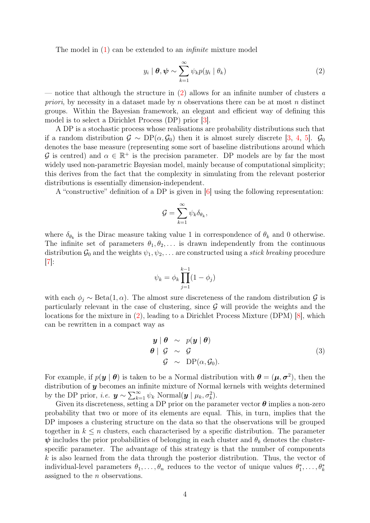The model in [\(1\)](#page-2-1) can be extended to an *infinite* mixture model

<span id="page-3-0"></span>
$$
y_i \mid \boldsymbol{\theta}, \boldsymbol{\psi} \sim \sum_{k=1}^{\infty} \psi_k p(y_i \mid \theta_k)
$$
 (2)

— notice that although the structure in  $(2)$  allows for an infinite number of clusters a *priori*, by necessity in a dataset made by n observations there can be at most n distinct groups. Within the Bayesian framework, an elegant and efficient way of defining this model is to select a Dirichlet Process (DP) prior [\[3\]](#page-21-2).

A DP is a stochastic process whose realisations are probability distributions such that if a random distribution  $\mathcal{G} \sim \text{DP}(\alpha, \mathcal{G}_0)$  then it is almost surely discrete [\[3,](#page-21-2) [4,](#page-21-3) [5\]](#page-21-4).  $\mathcal{G}_0$ denotes the base measure (representing some sort of baseline distributions around which G is centred) and  $\alpha \in \mathbb{R}^+$  is the precision parameter. DP models are by far the most widely used non-parametric Bayesian model, mainly because of computational simplicity; this derives from the fact that the complexity in simulating from the relevant posterior distributions is essentially dimension-independent.

A "constructive" definition of a DP is given in [\[6\]](#page-21-5) using the following representation:

$$
\mathcal{G} = \sum_{k=1}^{\infty} \psi_k \delta_{\theta_k},
$$

where  $\delta_{\theta_k}$  is the Dirac measure taking value 1 in correspondence of  $\theta_k$  and 0 otherwise. The infinite set of parameters  $\theta_1, \theta_2, \ldots$  is drawn independently from the continuous distribution  $\mathcal{G}_0$  and the weights  $\psi_1, \psi_2, \ldots$  are constructed using a *stick breaking* procedure [\[7\]](#page-21-6):

$$
\psi_k = \phi_k \prod_{j=1}^{k-1} (1 - \phi_j)
$$

with each  $\phi_i \sim \text{Beta}(1, \alpha)$ . The almost sure discreteness of the random distribution  $\mathcal G$  is particularly relevant in the case of clustering, since  $\mathcal G$  will provide the weights and the locations for the mixture in [\(2\)](#page-3-0), leading to a Dirichlet Process Mixture (DPM) [\[8\]](#page-21-7), which can be rewritten in a compact way as

<span id="page-3-1"></span>
$$
\begin{array}{rcl}\n\mathbf{y} \mid \boldsymbol{\theta} & \sim & p(\mathbf{y} \mid \boldsymbol{\theta}) \\
\boldsymbol{\theta} \mid \mathcal{G} & \sim & \mathcal{G} \\
\mathcal{G} & \sim & \text{DP}(\alpha, \mathcal{G}_0).\n\end{array} \tag{3}
$$

For example, if  $p(\mathbf{y} \mid \boldsymbol{\theta})$  is taken to be a Normal distribution with  $\boldsymbol{\theta} = (\boldsymbol{\mu}, \boldsymbol{\sigma}^2)$ , then the distribution of  $y$  becomes an infinite mixture of Normal kernels with weights determined by the DP prior, *i.e.*  $y \sim \sum_{k=1}^{\infty} \psi_k$  Normal $(y \mid \mu_k, \sigma_k^2)$ .

Given its discreteness, setting a DP prior on the parameter vector  $\theta$  implies a non-zero probability that two or more of its elements are equal. This, in turn, implies that the DP imposes a clustering structure on the data so that the observations will be grouped together in  $k \leq n$  clusters, each characterised by a specific distribution. The parameter  $\psi$  includes the prior probabilities of belonging in each cluster and  $\theta_k$  denotes the clusterspecific parameter. The advantage of this strategy is that the number of components  $k$  is also learned from the data through the posterior distribution. Thus, the vector of individual-level parameters  $\theta_1, \ldots, \theta_n$  reduces to the vector of unique values  $\theta_1^*, \ldots, \theta_k^*$ assigned to the n observations.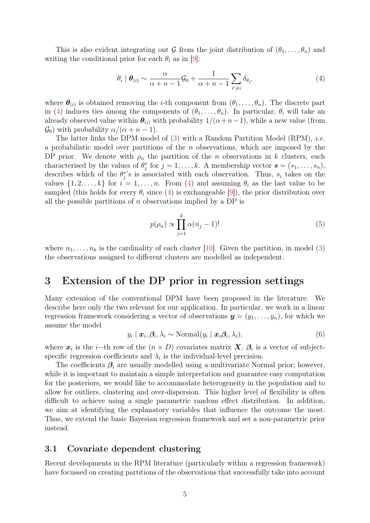This is also evident integrating out G from the joint distribution of  $(\theta_1, \ldots, \theta_n)$  and writing the conditional prior for each  $\theta_i$  as in [\[9\]](#page-21-8):

<span id="page-4-1"></span>
$$
\theta_i \mid \boldsymbol{\theta}_{(i)} \sim \frac{\alpha}{\alpha + n - 1} \mathcal{G}_0 + \frac{1}{\alpha + n - 1} \sum_{i' \neq i} \delta_{\theta_{i'}} \tag{4}
$$

where  $\theta_{(i)}$  is obtained removing the *i*-th component from  $(\theta_1, \ldots, \theta_n)$ . The discrete part in [\(4\)](#page-4-1) induces ties among the components of  $(\theta_1, \ldots, \theta_n)$ . In particular,  $\theta_i$  will take an already observed value within  $\theta_{(i)}$  with probability  $1/(\alpha+n-1)$ , while a new value (from  $\mathcal{G}_0$ ) with probability  $\alpha/(\alpha + n - 1)$ .

The latter links the DPM model of  $(3)$  with a Random Partition Model (RPM), *i.e.* a probabilistic model over partitions of the n observations, which are imposed by the DP prior. We denote with  $\rho_n$  the partition of the *n* observations in *k* clusters, each characterised by the values of  $\theta_j^*$  for  $j = 1, \ldots, k$ . A membership vector  $\mathbf{s} = (s_1, \ldots, s_n)$ , describes which of the  $\theta_j^*$ 's is associated with each observation. Thus,  $s_i$  takes on the values  $\{1, 2, \ldots, k\}$  for  $i = 1, \ldots, n$ . From [\(4\)](#page-4-1) and assuming  $\theta_i$  as the last value to be sampled (this holds for every  $\theta_i$  since [\(4\)](#page-4-1) is exchangeable [\[9\]](#page-21-8)), the prior distribution over all the possible partitions of  $n$  observations implied by a DP is

<span id="page-4-2"></span>
$$
p(\rho_n) \propto \prod_{j=1}^k \alpha(n_j - 1)!
$$
 (5)

where  $n_1, \ldots, n_k$  is the cardinality of each cluster [\[10\]](#page-21-9). Given the partition, in model [\(3\)](#page-3-1) the observations assigned to different clusters are modelled as independent.

# <span id="page-4-0"></span>3 Extension of the DP prior in regression settings

Many extension of the conventional DPM have been proposed in the literature. We describe here only the two relevant for our application. In particular, we work in a linear regression framework considering a vector of observations  $y = (y_1, \ldots, y_n)$ , for which we assume the model

<span id="page-4-3"></span>
$$
y_i | \mathbf{x}_i, \boldsymbol{\beta}_i, \lambda_i \sim \text{Normal}(y_i | \mathbf{x}_i, \boldsymbol{\beta}_i, \lambda_i), \tag{6}
$$

where  $x_i$  is the *i*−th row of the  $(n \times D)$  covariates matrix  $\mathbf{X}, \boldsymbol{\beta}_i$  is a vector of subjectspecific regression coefficients and  $\lambda_i$  is the individual-level precision.

The coefficients  $\beta_i$  are usually modelled using a multivariate Normal prior; however, while it is important to maintain a simple interpretation and guarantee easy computation for the posteriors, we would like to accommodate heterogeneity in the population and to allow for outliers, clustering and over-dispersion. This higher level of flexibility is often difficult to achieve using a single parametric random effect distribution. In addition, we aim at identifying the explanatory variables that influence the outcome the most. Thus, we extend the basic Bayesian regression framework and set a non-parametric prior instead.

## 3.1 Covariate dependent clustering

Recent developments in the RPM literature (particularly within a regression framework) have focussed on creating partitions of the observations that successfully take into account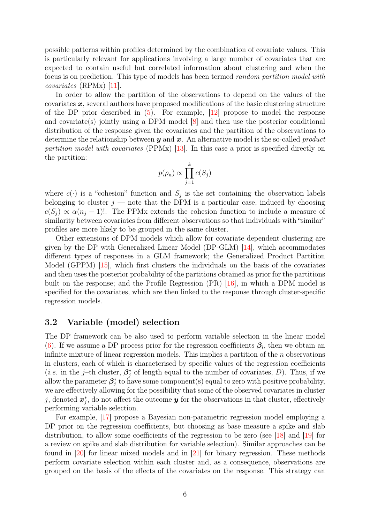possible patterns within profiles determined by the combination of covariate values. This is particularly relevant for applications involving a large number of covariates that are expected to contain useful but correlated information about clustering and when the focus is on prediction. This type of models has been termed random partition model with covariates (RPMx) [\[11\]](#page-21-10).

In order to allow the partition of the observations to depend on the values of the  $\alpha$  covariates  $\boldsymbol{x}$ , several authors have proposed modifications of the basic clustering structure of the DP prior described in  $(5)$ . For example,  $[12]$  propose to model the response and covariate(s) jointly using a DPM model [\[8\]](#page-21-7) and then use the posterior conditional distribution of the response given the covariates and the partition of the observations to determine the relationship between  $y$  and  $x$ . An alternative model is the so-called *product* partition model with covariates (PPMx) [\[13\]](#page-21-12). In this case a prior is specified directly on the partition:

$$
p(\rho_n) \propto \prod_{j=1}^k c(S_j)
$$

where  $c(\cdot)$  is a "cohesion" function and  $S_j$  is the set containing the observation labels belonging to cluster  $j$  — note that the DPM is a particular case, induced by choosing  $c(S_i) \propto \alpha(n_i-1)!$ . The PPMx extends the cohesion function to include a measure of similarity between covariates from different observations so that individuals with "similar" profiles are more likely to be grouped in the same cluster.

Other extensions of DPM models which allow for covariate dependent clustering are given by the DP with Generalized Linear Model (DP-GLM) [\[14\]](#page-21-13), which accommodates different types of responses in a GLM framework; the Generalized Product Partition Model (GPPM) [\[15\]](#page-21-14), which first clusters the individuals on the basis of the covariates and then uses the posterior probability of the partitions obtained as prior for the partitions built on the response; and the Profile Regression (PR) [\[16\]](#page-22-0), in which a DPM model is specified for the covariates, which are then linked to the response through cluster-specific regression models.

#### 3.2 Variable (model) selection

The DP framework can be also used to perform variable selection in the linear model [\(6\)](#page-4-3). If we assume a DP process prior for the regression coefficients  $\beta_i$ , then we obtain an infinite mixture of linear regression models. This implies a partition of the  $n$  observations in clusters, each of which is characterised by specific values of the regression coefficients (*i.e.* in the j-th cluster,  $\beta_j^*$  of length equal to the number of covariates, D). Thus, if we allow the parameter  $\beta_j^*$  to have some component(s) equal to zero with positive probability, we are effectively allowing for the possibility that some of the observed covariates in cluster j, denoted  $\boldsymbol{x}_j^*$ , do not affect the outcome  $\boldsymbol{y}$  for the observations in that cluster, effectively performing variable selection.

For example, [\[17\]](#page-22-1) propose a Bayesian non-parametric regression model employing a DP prior on the regression coefficients, but choosing as base measure a spike and slab distribution, to allow some coefficients of the regression to be zero (see [\[18\]](#page-22-2) and [\[19\]](#page-22-3) for a review on spike and slab distribution for variable selection). Similar approaches can be found in [\[20\]](#page-22-4) for linear mixed models and in [\[21\]](#page-22-5) for binary regression. These methods perform covariate selection within each cluster and, as a consequence, observations are grouped on the basis of the effects of the covariates on the response. This strategy can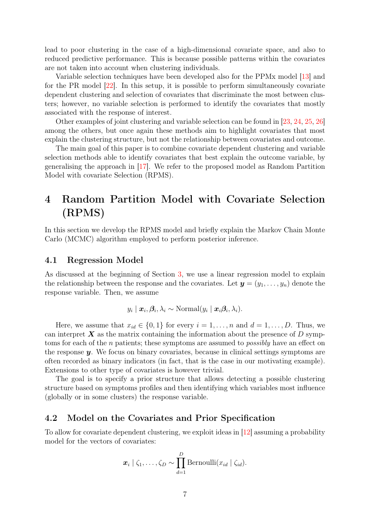lead to poor clustering in the case of a high-dimensional covariate space, and also to reduced predictive performance. This is because possible patterns within the covariates are not taken into account when clustering individuals.

Variable selection techniques have been developed also for the PPMx model [\[13\]](#page-21-12) and for the PR model [\[22\]](#page-22-6). In this setup, it is possible to perform simultaneously covariate dependent clustering and selection of covariates that discriminate the most between clusters; however, no variable selection is performed to identify the covariates that mostly associated with the response of interest.

Other examples of joint clustering and variable selection can be found in [\[23,](#page-22-7) [24,](#page-22-8) [25,](#page-22-9) [26\]](#page-22-10) among the others, but once again these methods aim to highlight covariates that most explain the clustering structure, but not the relationship between covariates and outcome.

The main goal of this paper is to combine covariate dependent clustering and variable selection methods able to identify covariates that best explain the outcome variable, by generalising the approach in [\[17\]](#page-22-1). We refer to the proposed model as Random Partition Model with covariate Selection (RPMS).

# <span id="page-6-0"></span>4 Random Partition Model with Covariate Selection (RPMS)

In this section we develop the RPMS model and briefly explain the Markov Chain Monte Carlo (MCMC) algorithm employed to perform posterior inference.

#### 4.1 Regression Model

As discussed at the beginning of Section [3,](#page-4-0) we use a linear regression model to explain the relationship between the response and the covariates. Let  $y = (y_1, \ldots, y_n)$  denote the response variable. Then, we assume

$$
y_i | \mathbf{x}_i, \boldsymbol{\beta}_i, \lambda_i \sim \text{Normal}(y_i | \mathbf{x}_i, \boldsymbol{\beta}_i, \lambda_i).
$$

Here, we assume that  $x_{id} \in \{0, 1\}$  for every  $i = 1, \ldots, n$  and  $d = 1, \ldots, D$ . Thus, we can interpret  $\boldsymbol{X}$  as the matrix containing the information about the presence of D symptoms for each of the *n* patients; these symptoms are assumed to *possibly* have an effect on the response  $y$ . We focus on binary covariates, because in clinical settings symptoms are often recorded as binary indicators (in fact, that is the case in our motivating example). Extensions to other type of covariates is however trivial.

The goal is to specify a prior structure that allows detecting a possible clustering structure based on symptoms profiles and then identifying which variables most influence (globally or in some clusters) the response variable.

## 4.2 Model on the Covariates and Prior Specification

To allow for covariate dependent clustering, we exploit ideas in [\[12\]](#page-21-11) assuming a probability model for the vectors of covariates:

$$
\boldsymbol{x}_i \mid \zeta_1,\ldots,\zeta_D \sim \prod_{d=1}^D \text{Bernoulli}(x_{id} \mid \zeta_{id}).
$$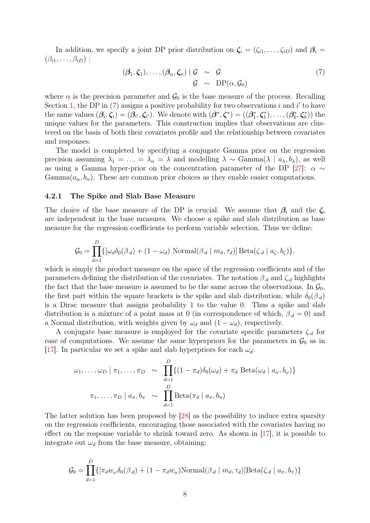In addition, we specify a joint DP prior distribution on  $\zeta_i = (\zeta_{i1}, \ldots, \zeta_{iD})$  and  $\beta_i =$  $(\beta_{i1}, \ldots, \beta_{iD})$ :

<span id="page-7-0"></span>
$$
(\beta_1, \zeta_1), \dots, (\beta_n, \zeta_n) | \mathcal{G} \sim \mathcal{G}
$$
  

$$
\mathcal{G} \sim \text{DP}(\alpha, \mathcal{G}_0)
$$
 (7)

where  $\alpha$  is the precision parameter and  $\mathcal{G}_0$  is the base measure of the process. Recalling Section [1,](#page-0-0) the DP in  $(7)$  assigns a positive probability for two observations i and i' to have the same values  $(\beta_i, \zeta_i) = (\beta_{i'}, \zeta_{i'})$ . We denote with  $(\beta^*, \zeta^*) = ((\beta_1^*, \zeta_1^*), \ldots, (\beta_k^*, \zeta_k^*))$  the unique values for the parameters. This construction implies that observations are clustered on the basis of both their covariates profile and the relationship between covariates and responses.

The model is completed by specifying a conjugate Gamma prior on the regression precision assuming  $\lambda_1 = \ldots = \lambda_n = \lambda$  and modelling  $\lambda \sim \text{Gamma}(\lambda \mid a_{\lambda}, b_{\lambda})$ , as well as using a Gamma hyper-prior on the concentration parameter of the DP [\[27\]](#page-22-11):  $\alpha \sim$  $Gamma(a_{\alpha}, b_{\alpha})$ . These are common prior choices as they enable easier computations.

#### <span id="page-7-1"></span>4.2.1 The Spike and Slab Base Measure

The choice of the base measure of the DP is crucial. We assume that  $\beta_i$  and the  $\zeta_i$ are independent in the base measures. We choose a spike and slab distribution as base measure for the regression coefficients to perform variable selection. Thus we define:

$$
\mathcal{G}_0 = \prod_{d=1}^D \{ [\omega_d \delta_0(\beta_d) + (1 - \omega_d) \text{ Normal}(\beta_d \mid m_d, \tau_d)] \text{Beta}(\zeta_d \mid a_\zeta, b_\zeta) \},
$$

which is simply the product measure on the space of the regression coefficients and of the parameters defining the distribution of the covariates. The notation  $\beta_d$  and  $\zeta_d$  highlights the fact that the base measure is assumed to be the same across the observations. In  $\mathcal{G}_0$ , the first part within the square brackets is the spike and slab distribution, while  $\delta_0(\beta_d)$ is a Dirac measure that assigns probability 1 to the value 0. Thus a spike and slab distribution is a mixture of a point mass at 0 (in correspondence of which,  $\beta_d = 0$ ) and a Normal distribution, with weights given by  $\omega_d$  and  $(1 - \omega_d)$ , respectively.

A conjugate base measure is employed for the covariate specific parameters  $\zeta_d$  for ease of computations. We assume the same hyperpriors for the parameters in  $\mathcal{G}_0$  as in [\[17\]](#page-22-1). In particular we set a spike and slab hyperpriors for each  $\omega_d$ :

$$
\omega_1, \ldots, \omega_D \mid \pi_1, \ldots, \pi_D \sim \prod_{d=1}^D \{ (1 - \pi_d) \delta_0(\omega_d) + \pi_d \text{ Beta}(\omega_d \mid a_{\omega}, b_{\omega}) \}
$$

$$
\pi_1, \ldots, \pi_D \mid a_{\pi}, b_{\pi} \sim \prod_{d=1}^D \text{Beta}(\pi_d \mid a_{\pi}, b_{\pi})
$$

The latter solution has been proposed by [\[28\]](#page-22-12) as the possibility to induce extra sparsity on the regression coefficients, encouraging those associated with the covariates having no effect on the response variable to shrink toward zero. As shown in [\[17\]](#page-22-1), it is possible to integrate out  $\omega_d$  from the base measure, obtaining:

$$
\mathcal{G}_0 = \prod_{d=1}^D \{ [\pi_d w_\omega \delta_0(\beta_d) + (1 - \pi_d w_\omega) \text{Normal}(\beta_d \mid m_d, \tau_d)] \text{Beta}(\zeta_d \mid a_\pi, b_\pi) \}
$$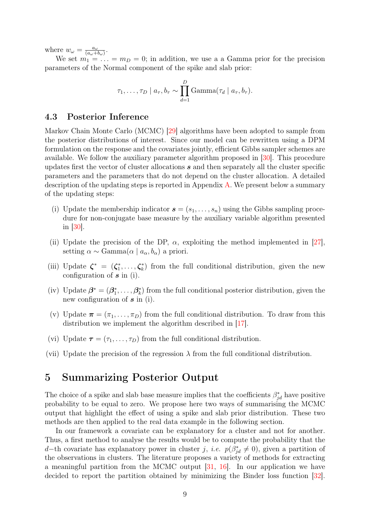where  $w_{\omega} = \frac{a_{\omega}}{(a_{\omega} + a_{\omega})^2}$  $\frac{a_{\omega}}{(a_{\omega}+b_{\omega})}$ .

We set  $m_1 = \ldots = m_D = 0$ ; in addition, we use a a Gamma prior for the precision parameters of the Normal component of the spike and slab prior:

$$
\tau_1, \ldots, \tau_D \mid a_{\tau}, b_{\tau} \sim \prod_{d=1}^D \text{Gamma}(\tau_d \mid a_{\tau}, b_{\tau}).
$$

#### 4.3 Posterior Inference

Markov Chain Monte Carlo (MCMC) [\[29\]](#page-22-13) algorithms have been adopted to sample from the posterior distributions of interest. Since our model can be rewritten using a DPM formulation on the response and the covariates jointly, efficient Gibbs sampler schemes are available. We follow the auxiliary parameter algorithm proposed in [\[30\]](#page-23-0). This procedure updates first the vector of cluster allocations  $s$  and then separately all the cluster specific parameters and the parameters that do not depend on the cluster allocation. A detailed description of the updating steps is reported in Appendix [A.](#page-18-0) We present below a summary of the updating steps:

- (i) Update the membership indicator  $\mathbf{s} = (s_1, \ldots, s_n)$  using the Gibbs sampling procedure for non-conjugate base measure by the auxiliary variable algorithm presented in [\[30\]](#page-23-0).
- (ii) Update the precision of the DP,  $\alpha$ , exploiting the method implemented in [\[27\]](#page-22-11), setting  $\alpha \sim \text{Gamma}(\alpha \mid a_{\alpha}, b_{\alpha})$  a priori.
- (iii) Update  $\zeta^* = (\zeta_1^*, \ldots, \zeta_k^*)$  from the full conditional distribution, given the new configuration of  $s$  in (i).
- (iv) Update  $\beta^* = (\beta_1^*, \ldots, \beta_k^*)$  from the full conditional posterior distribution, given the new configuration of  $s$  in (i).
- (v) Update  $\boldsymbol{\pi} = (\pi_1, \dots, \pi_D)$  from the full conditional distribution. To draw from this distribution we implement the algorithm described in [\[17\]](#page-22-1).
- (vi) Update  $\tau = (\tau_1, \ldots, \tau_D)$  from the full conditional distribution.
- (vii) Update the precision of the regression  $\lambda$  from the full conditional distribution.

# <span id="page-8-0"></span>5 Summarizing Posterior Output

The choice of a spike and slab base measure implies that the coefficients  $\beta_{jd}^*$  have positive probability to be equal to zero. We propose here two ways of summarising the MCMC output that highlight the effect of using a spike and slab prior distribution. These two methods are then applied to the real data example in the following section.

In our framework a covariate can be explanatory for a cluster and not for another. Thus, a first method to analyse the results would be to compute the probability that the d–th covariate has explanatory power in cluster j, i.e.  $p(\beta_{jd}^* \neq 0)$ , given a partition of the observations in clusters. The literature proposes a variety of methods for extracting a meaningful partition from the MCMC output [\[31,](#page-23-1) [16\]](#page-22-0). In our application we have decided to report the partition obtained by minimizing the Binder loss function [\[32\]](#page-23-2).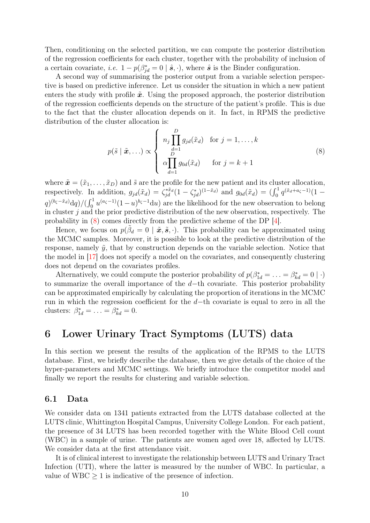Then, conditioning on the selected partition, we can compute the posterior distribution of the regression coefficients for each cluster, together with the probability of inclusion of a certain covariate, *i.e.*  $1 - p(\beta_{jd}^* = 0 | \hat{s}, \cdot)$ , where  $\hat{s}$  is the Binder configuration.

A second way of summarising the posterior output from a variable selection perspective is based on predictive inference. Let us consider the situation in which a new patient enters the study with profile  $\tilde{x}$ . Using the proposed approach, the posterior distribution of the regression coefficients depends on the structure of the patient's profile. This is due to the fact that the cluster allocation depends on it. In fact, in RPMS the predictive distribution of the cluster allocation is:

<span id="page-9-1"></span>
$$
p(\tilde{s} \mid \tilde{x}, \ldots) \propto \begin{cases} n_j \prod_{d=1}^D g_{jd}(\tilde{x}_d) & \text{for } j = 1, \ldots, k \\ \alpha \prod_{d=1}^D g_{0d}(\tilde{x}_d) & \text{for } j = k+1 \end{cases}
$$
 (8)

where  $\tilde{\boldsymbol{x}} = (\tilde{x}_1, \ldots, \tilde{x}_D)$  and  $\tilde{s}$  are the profile for the new patient and its cluster allocation, respectively. In addition,  $g_{jd}(\tilde{x}_d) = \zeta_{jd}^{*\tilde{x}_d}(1-\zeta_{jd}^*)^{(1-\tilde{x}_d)}$  and  $g_{0d}(\tilde{x}_d) = \left(\int_0^1 q^{(\tilde{x}_d+a_{\zeta}-1)}(1-\right)$  $q)^{(b_{\zeta}-\tilde{x}_d)}dq/(\int_0^1 u^{(a_{\zeta}-1)}(1-u)^{b_{\zeta}-1}du)$  are the likelihood for the new observation to belong in cluster  $j$  and the prior predictive distribution of the new observation, respectively. The probability in [\(8\)](#page-9-1) comes directly from the predictive scheme of the DP [\[4\]](#page-21-3).

Hence, we focus on  $p(\tilde{\beta}_d = 0 | \tilde{x}, \tilde{s}, \cdot)$ . This probability can be approximated using the MCMC samples. Moreover, it is possible to look at the predictive distribution of the response, namely  $\tilde{y}$ , that by construction depends on the variable selection. Notice that the model in [\[17\]](#page-22-1) does not specify a model on the covariates, and consequently clustering does not depend on the covariates profiles.

Alternatively, we could compute the posterior probability of  $p(\beta_{1d}^* = \ldots = \beta_{kd}^* = 0 | \cdot)$ to summarize the overall importance of the d−th covariate. This posterior probability can be approximated empirically by calculating the proportion of iterations in the MCMC run in which the regression coefficient for the d−th covariate is equal to zero in all the clusters:  $\beta_{1d}^* = \ldots = \beta_{kd}^* = 0.$ 

# <span id="page-9-0"></span>6 Lower Urinary Tract Symptoms (LUTS) data

In this section we present the results of the application of the RPMS to the LUTS database. First, we briefly describe the database, then we give details of the choice of the hyper-parameters and MCMC settings. We briefly introduce the competitor model and finally we report the results for clustering and variable selection.

#### <span id="page-9-2"></span>6.1 Data

We consider data on 1341 patients extracted from the LUTS database collected at the LUTS clinic, Whittington Hospital Campus, University College London. For each patient, the presence of 34 LUTS has been recorded together with the White Blood Cell count (WBC) in a sample of urine. The patients are women aged over 18, affected by LUTS. We consider data at the first attendance visit.

It is of clinical interest to investigate the relationship between LUTS and Urinary Tract Infection (UTI), where the latter is measured by the number of WBC. In particular, a value of  $WBC \geq 1$  is indicative of the presence of infection.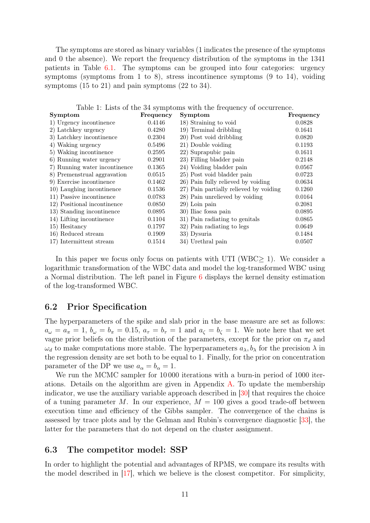The symptoms are stored as binary variables (1 indicates the presence of the symptoms and 0 the absence). We report the frequency distribution of the symptoms in the 1341 patients in Table [6.1.](#page-9-2) The symptoms can be grouped into four categories: urgency symptoms (symptoms from 1 to 8), stress incontinence symptoms (9 to 14), voiding symptoms (15 to 21) and pain symptoms (22 to 34).

Table 1: Lists of the 34 symptoms with the frequency of occurrence.

| Symptom                       | Frequency | Symptom                                | Frequency |
|-------------------------------|-----------|----------------------------------------|-----------|
| 1) Urgency incontinence       | 0.4146    | 18) Straining to void                  | 0.0828    |
| 2) Latchkey urgency           | 0.4280    | 19) Terminal dribbling                 | 0.1641    |
| 3) Latchkey incontinence      | 0.2304    | 20) Post void dribbling                | 0.0820    |
| 4) Waking urgency             | 0.5496    | 21) Double voiding                     | 0.1193    |
| 5) Waking incontinence        | 0.2595    | 22) Suprapubic pain                    | 0.1611    |
| 6) Running water urgency      | 0.2901    | 23) Filling bladder pain               | 0.2148    |
| 7) Running water incontinence | 0.1365    | 24) Voiding bladder pain               | 0.0567    |
| 8) Premenstrual aggravation   | 0.0515    | 25) Post void bladder pain             | 0.0723    |
| 9) Exercise incontinence      | 0.1462    | 26) Pain fully relieved by voiding     | 0.0634    |
| 10) Laughing incontinence     | 0.1536    | 27) Pain partially relieved by voiding | 0.1260    |
| 11) Passive incontinence      | 0.0783    | 28) Pain unrelieved by voiding         | 0.0164    |
| 12) Positional incontinence   | 0.0850    | 29) Loin pain                          | 0.2081    |
| 13) Standing incontinence     | 0.0895    | 30) Iliac fossa pain                   | 0.0895    |
| 14) Lifting incontinence      | 0.1104    | 31) Pain radiating to genitals         | 0.0865    |
| 15) Hesitancy                 | 0.1797    | 32) Pain radiating to legs             | 0.0649    |
| 16) Reduced stream            | 0.1909    | 33) Dysuria                            | 0.1484    |
| 17) Intermittent stream       | 0.1514    | 34) Urethral pain                      | 0.0507    |

In this paper we focus only focus on patients with UTI (WBC $> 1$ ). We consider a logarithmic transformation of the WBC data and model the log-transformed WBC using a Normal distribution. The left panel in Figure [6](#page-16-0) displays the kernel density estimation of the log-transformed WBC.

## 6.2 Prior Specification

The hyperparameters of the spike and slab prior in the base measure are set as follows:  $a_{\omega} = a_{\pi} = 1, b_{\omega} = b_{\pi} = 0.15, a_{\tau} = b_{\tau} = 1$  and  $a_{\zeta} = b_{\zeta} = 1$ . We note here that we set vague prior beliefs on the distribution of the parameters, except for the prior on  $\pi_d$  and  $\omega_d$  to make computations more stable. The hyperparameters  $a_\lambda, b_\lambda$  for the precision  $\lambda$  in the regression density are set both to be equal to 1. Finally, for the prior on concentration parameter of the DP we use  $a_{\alpha} = b_{\alpha} = 1$ .

We run the MCMC sampler for 10000 iterations with a burn-in period of 1000 iterations. Details on the algorithm are given in Appendix [A.](#page-18-0) To update the membership indicator, we use the auxiliary variable approach described in [\[30\]](#page-23-0) that requires the choice of a tuning parameter M. In our experience,  $M = 100$  gives a good trade-off between execution time and efficiency of the Gibbs sampler. The convergence of the chains is assessed by trace plots and by the Gelman and Rubin's convergence diagnostic [\[33\]](#page-23-3), the latter for the parameters that do not depend on the cluster assignment.

## 6.3 The competitor model: SSP

In order to highlight the potential and advantages of RPMS, we compare its results with the model described in [\[17\]](#page-22-1), which we believe is the closest competitor. For simplicity,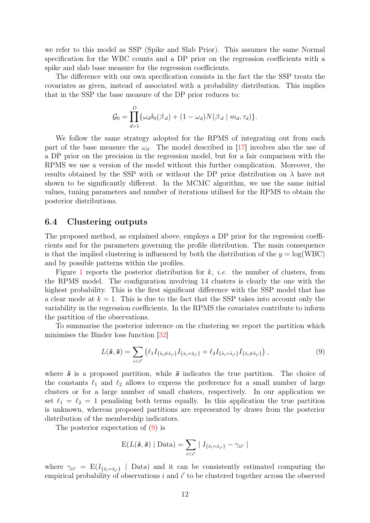we refer to this model as SSP (Spike and Slab Prior). This assumes the same Normal specification for the WBC counts and a DP prior on the regression coefficients with a spike and slab base measure for the regression coefficients.

The difference with our own specification consists in the fact the the SSP treats the covariates as given, instead of associated with a probability distribution. This implies that in the SSP the base measure of the DP prior reduces to:

$$
\mathcal{G}_0 = \prod_{d=1}^D \{ \omega_d \delta_0(\beta_d) + (1 - \omega_d) N(\beta_d \mid m_d, \tau_d) \}.
$$

We follow the same strategy adopted for the RPMS of integrating out from each part of the base measure the  $\omega_d$ . The model described in [\[17\]](#page-22-1) involves also the use of a DP prior on the precision in the regression model, but for a fair comparison with the RPMS we use a version of the model without this further complication. Moreover, the results obtained by the SSP with or without the DP prior distribution on  $\lambda$  have not shown to be significantly different. In the MCMC algorithm, we use the same initial values, tuning parameters and number of iterations utilised for the RPMS to obtain the posterior distributions.

## 6.4 Clustering outputs

The proposed method, as explained above, employs a DP prior for the regression coefficients and for the parameters governing the profile distribution. The main consequence is that the implied clustering is influenced by both the distribution of the  $y = \log(WBC)$ and by possible patterns within the profiles.

Figure [1](#page-12-0) reports the posterior distribution for  $k$ , *i.e.* the number of clusters, from the RPMS model. The configuration involving 14 clusters is clearly the one with the highest probability. This is the first significant difference with the SSP model that has a clear mode at  $k = 1$ . This is due to the fact that the SSP takes into account only the variability in the regression coefficients. In the RPMS the covariates contribute to inform the partition of the observations.

To summarise the posterior inference on the clustering we report the partition which minimises the Binder loss function [\[32\]](#page-23-2)

<span id="page-11-0"></span>
$$
L(\hat{\mathbf{s}}, \bar{\mathbf{s}}) = \sum_{i < i'} \left( \ell_1 I_{\{\hat{s}_i \neq \hat{s}_{i'}\}} I_{\{\bar{s}_i = \bar{s}_{i'}\}} + \ell_2 I_{\{\hat{s}_i = \hat{s}_{i'}\}} I_{\{\bar{s}_i \neq \bar{s}_{i'}\}} \right),\tag{9}
$$

where  $\hat{\mathbf{s}}$  is a proposed partition, while  $\bar{\mathbf{s}}$  indicates the true partition. The choice of the constants  $\ell_1$  and  $\ell_2$  allows to express the preference for a small number of large clusters or for a large number of small clusters, respectively. In our application we set  $\ell_1 = \ell_2 = 1$  penalising both terms equally. In this application the true partition is unknown, whereas proposed partitions are represented by draws from the posterior distribution of the membership indicators.

The posterior expectation of [\(9\)](#page-11-0) is

$$
\mathrm{E}(L(\hat{\pmb{s}},\bar{\pmb{s}})\mid\mathrm{Data})=\sum_{i
$$

where  $\gamma_{ii'} = E(I_{\{\bar{s}_i=\bar{s}_{i'}\}} \mid$  Data) and it can be consistently estimated computing the empirical probability of observations  $i$  and  $i'$  to be clustered together across the observed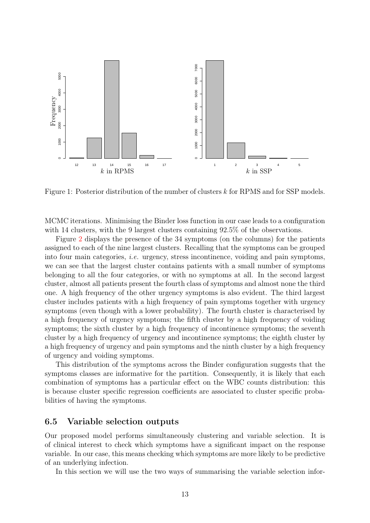

<span id="page-12-0"></span>Figure 1: Posterior distribution of the number of clusters k for RPMS and for SSP models.

MCMC iterations. Minimising the Binder loss function in our case leads to a configuration with 14 clusters, with the 9 largest clusters containing  $92.5\%$  of the observations.

Figure [2](#page-13-0) displays the presence of the 34 symptoms (on the columns) for the patients assigned to each of the nine largest clusters. Recalling that the symptoms can be grouped into four main categories, i.e. urgency, stress incontinence, voiding and pain symptoms, we can see that the largest cluster contains patients with a small number of symptoms belonging to all the four categories, or with no symptoms at all. In the second largest cluster, almost all patients present the fourth class of symptoms and almost none the third one. A high frequency of the other urgency symptoms is also evident. The third largest cluster includes patients with a high frequency of pain symptoms together with urgency symptoms (even though with a lower probability). The fourth cluster is characterised by a high frequency of urgency symptoms; the fifth cluster by a high frequency of voiding symptoms; the sixth cluster by a high frequency of incontinence symptoms; the seventh cluster by a high frequency of urgency and incontinence symptoms; the eighth cluster by a high frequency of urgency and pain symptoms and the ninth cluster by a high frequency of urgency and voiding symptoms.

This distribution of the symptoms across the Binder configuration suggests that the symptoms classes are informative for the partition. Consequently, it is likely that each combination of symptoms has a particular effect on the WBC counts distribution: this is because cluster specific regression coefficients are associated to cluster specific probabilities of having the symptoms.

## 6.5 Variable selection outputs

Our proposed model performs simultaneously clustering and variable selection. It is of clinical interest to check which symptoms have a significant impact on the response variable. In our case, this means checking which symptoms are more likely to be predictive of an underlying infection.

In this section we will use the two ways of summarising the variable selection infor-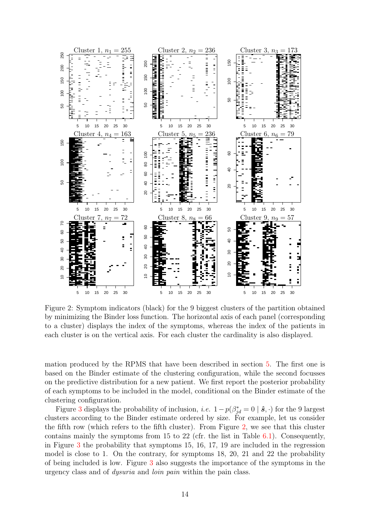

<span id="page-13-0"></span>Figure 2: Symptom indicators (black) for the 9 biggest clusters of the partition obtained by minimizing the Binder loss function. The horizontal axis of each panel (corresponding to a cluster) displays the index of the symptoms, whereas the index of the patients in each cluster is on the vertical axis. For each cluster the cardinality is also displayed.

mation produced by the RPMS that have been described in section [5.](#page-8-0) The first one is based on the Binder estimate of the clustering configuration, while the second focusses on the predictive distribution for a new patient. We first report the posterior probability of each symptoms to be included in the model, conditional on the Binder estimate of the clustering configuration.

Figure [3](#page-14-0) displays the probability of inclusion, *i.e.*  $1-p(\beta_{jd}^* = 0 | \hat{s}, \cdot)$  for the 9 largest clusters according to the Binder estimate ordered by size. For example, let us consider the fifth row (which refers to the fifth cluster). From Figure [2,](#page-13-0) we see that this cluster contains mainly the symptoms from 15 to 22 (cfr. the list in Table [6.1\)](#page-9-2). Consequently, in Figure [3](#page-14-0) the probability that symptoms 15, 16, 17, 19 are included in the regression model is close to 1. On the contrary, for symptoms 18, 20, 21 and 22 the probability of being included is low. Figure [3](#page-14-0) also suggests the importance of the symptoms in the urgency class and of dysuria and loin pain within the pain class.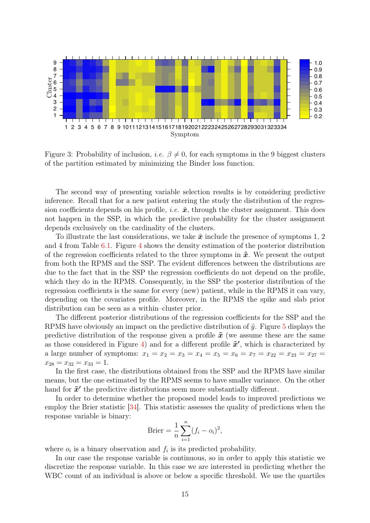

<span id="page-14-0"></span>Figure 3: Probability of inclusion, *i.e.*  $\beta \neq 0$ , for each symptoms in the 9 biggest clusters of the partition estimated by minimizing the Binder loss function.

The second way of presenting variable selection results is by considering predictive inference. Recall that for a new patient entering the study the distribution of the regression coefficients depends on his profile, *i.e.*  $\tilde{x}$ , through the cluster assignment. This does not happen in the SSP, in which the predictive probability for the cluster assignment depends exclusively on the cardinality of the clusters.

To illustrate the last considerations, we take  $\tilde{x}$  include the presence of symptoms 1, 2 and 4 from Table [6.1.](#page-9-2) Figure [4](#page-15-0) shows the density estimation of the posterior distribution of the regression coefficients related to the three symptoms in  $\tilde{x}$ . We present the output from both the RPMS and the SSP. The evident differences between the distributions are due to the fact that in the SSP the regression coefficients do not depend on the profile, which they do in the RPMS. Consequently, in the SSP the posterior distribution of the regression coefficients is the same for every (new) patient, while in the RPMS it can vary, depending on the covariates profile. Moreover, in the RPMS the spike and slab prior distribution can be seen as a within–cluster prior.

The different posterior distributions of the regression coefficients for the SSP and the RPMS have obviously an impact on the predictive distribution of  $\tilde{y}$ . Figure [5](#page-16-1) displays the predictive distribution of the response given a profile  $\tilde{x}$  (we assume these are the same as those considered in Figure [4\)](#page-15-0) and for a different profile  $\tilde{x}'$ , which is characterized by a large number of symptoms:  $x_1 = x_2 = x_3 = x_4 = x_5 = x_6 = x_7 = x_{22} = x_{23} = x_{27} = x_{28}$  $x_{28} = x_{32} = x_{33} = 1.$ 

In the first case, the distributions obtained from the SSP and the RPMS have similar means, but the one estimated by the RPMS seems to have smaller variance. On the other hand for  $\tilde{x}'$  the predictive distributions seem more substantially different.

In order to determine whether the proposed model leads to improved predictions we employ the Brier statistic [\[34\]](#page-23-4). This statistic assesses the quality of predictions when the response variable is binary:

$$
Brier = \frac{1}{n} \sum_{i=1}^{n} (f_i - o_i)^2,
$$

where  $o_i$  is a binary observation and  $f_i$  is its predicted probability.

In our case the response variable is continuous, so in order to apply this statistic we discretize the response variable. In this case we are interested in predicting whether the WBC count of an individual is above or below a specific threshold. We use the quartiles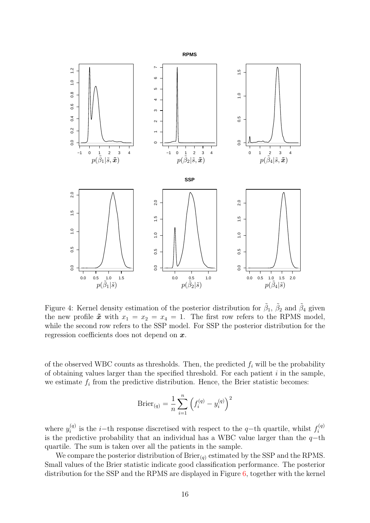

<span id="page-15-0"></span>Figure 4: Kernel density estimation of the posterior distribution for  $\tilde{\beta}_1$ ,  $\tilde{\beta}_2$  and  $\tilde{\beta}_4$  given the new profile  $\tilde{x}$  with  $x_1 = x_2 = x_4 = 1$ . The first row refers to the RPMS model, while the second row refers to the SSP model. For SSP the posterior distribution for the regression coefficients does not depend on  $x$ .

of the observed WBC counts as thresholds. Then, the predicted  $f_i$  will be the probability of obtaining values larger than the specified threshold. For each patient  $i$  in the sample, we estimate  $f_i$  from the predictive distribution. Hence, the Brier statistic becomes:

$$
Brier_{(q)} = \frac{1}{n} \sum_{i=1}^{n} (f_i^{(q)} - y_i^{(q)})^2
$$

where  $y_i^{(q)}$  $i$ <sup>(q)</sup> is the *i*−th response discretised with respect to the q−th quartile, whilst  $f_i^{(q)}$ i is the predictive probability that an individual has a WBC value larger than the  $q$ -th quartile. The sum is taken over all the patients in the sample.

We compare the posterior distribution of  $Brier_{(q)}$  estimated by the SSP and the RPMS. Small values of the Brier statistic indicate good classification performance. The posterior distribution for the SSP and the RPMS are displayed in Figure [6,](#page-16-0) together with the kernel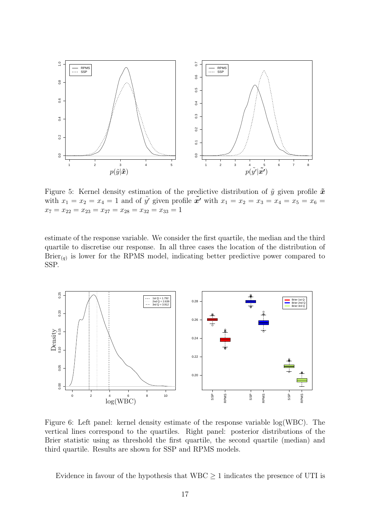

<span id="page-16-1"></span>Figure 5: Kernel density estimation of the predictive distribution of  $\tilde{y}$  given profile  $\tilde{x}$ with  $x_1 = x_2 = x_4 = 1$  and of  $\tilde{y'}$  given profile  $\tilde{x'}$  with  $x_1 = x_2 = x_3 = x_4 = x_5 = x_6 =$  $x_7 = x_{22} = x_{23} = x_{27} = x_{28} = x_{32} = x_{33} = 1$ 

estimate of the response variable. We consider the first quartile, the median and the third quartile to discretise our response. In all three cases the location of the distribution of  $Brier_{(q)}$  is lower for the RPMS model, indicating better predictive power compared to SSP.



<span id="page-16-0"></span>Figure 6: Left panel: kernel density estimate of the response variable log(WBC). The vertical lines correspond to the quartiles. Right panel: posterior distributions of the Brier statistic using as threshold the first quartile, the second quartile (median) and third quartile. Results are shown for SSP and RPMS models.

Evidence in favour of the hypothesis that  $WBC \geq 1$  indicates the presence of UTI is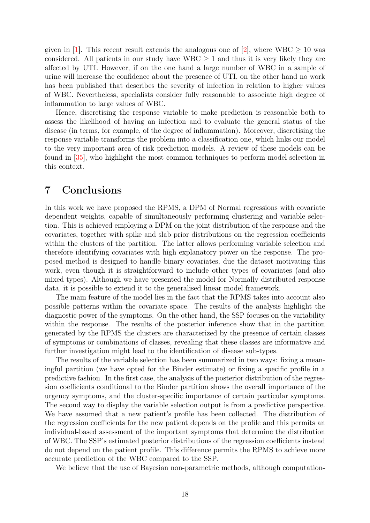given in [\[1\]](#page-21-0). This recent result extends the analogous one of [\[2\]](#page-21-1), where WBC  $> 10$  was considered. All patients in our study have WBC  $\geq 1$  and thus it is very likely they are affected by UTI. However, if on the one hand a large number of WBC in a sample of urine will increase the confidence about the presence of UTI, on the other hand no work has been published that describes the severity of infection in relation to higher values of WBC. Nevertheless, specialists consider fully reasonable to associate high degree of inflammation to large values of WBC.

Hence, discretising the response variable to make prediction is reasonable both to assess the likelihood of having an infection and to evaluate the general status of the disease (in terms, for example, of the degree of inflammation). Moreover, discretising the response variable transforms the problem into a classification one, which links our model to the very important area of risk prediction models. A review of these models can be found in [\[35\]](#page-23-5), who highlight the most common techniques to perform model selection in this context.

# <span id="page-17-0"></span>7 Conclusions

In this work we have proposed the RPMS, a DPM of Normal regressions with covariate dependent weights, capable of simultaneously performing clustering and variable selection. This is achieved employing a DPM on the joint distribution of the response and the covariates, together with spike and slab prior distributions on the regression coefficients within the clusters of the partition. The latter allows performing variable selection and therefore identifying covariates with high explanatory power on the response. The proposed method is designed to handle binary covariates, due the dataset motivating this work, even though it is straightforward to include other types of covariates (and also mixed types). Although we have presented the model for Normally distributed response data, it is possible to extend it to the generalised linear model framework.

The main feature of the model lies in the fact that the RPMS takes into account also possible patterns within the covariate space. The results of the analysis highlight the diagnostic power of the symptoms. On the other hand, the SSP focuses on the variability within the response. The results of the posterior inference show that in the partition generated by the RPMS the clusters are characterized by the presence of certain classes of symptoms or combinations of classes, revealing that these classes are informative and further investigation might lead to the identification of disease sub-types.

The results of the variable selection has been summarized in two ways: fixing a meaningful partition (we have opted for the Binder estimate) or fixing a specific profile in a predictive fashion. In the first case, the analysis of the posterior distribution of the regression coefficients conditional to the Binder partition shows the overall importance of the urgency symptoms, and the cluster-specific importance of certain particular symptoms. The second way to display the variable selection output is from a predictive perspective. We have assumed that a new patient's profile has been collected. The distribution of the regression coefficients for the new patient depends on the profile and this permits an individual-based assessment of the important symptoms that determine the distribution of WBC. The SSP's estimated posterior distributions of the regression coefficients instead do not depend on the patient profile. This difference permits the RPMS to achieve more accurate prediction of the WBC compared to the SSP.

We believe that the use of Bayesian non-parametric methods, although computation-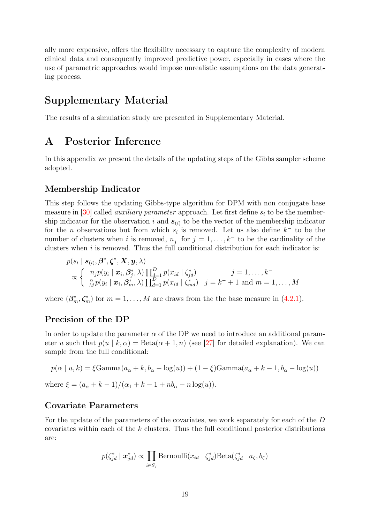ally more expensive, offers the flexibility necessary to capture the complexity of modern clinical data and consequently improved predictive power, especially in cases where the use of parametric approaches would impose unrealistic assumptions on the data generating process.

# Supplementary Material

The results of a simulation study are presented in Supplementary Material.

# <span id="page-18-0"></span>A Posterior Inference

In this appendix we present the details of the updating steps of the Gibbs sampler scheme adopted.

## Membership Indicator

This step follows the updating Gibbs-type algorithm for DPM with non conjugate base measure in [\[30\]](#page-23-0) called *auxiliary parameter* approach. Let first define  $s_i$  to be the membership indicator for the observation i and  $s_{(i)}$  to be the vector of the membership indicator for the *n* observations but from which  $s_i$  is removed. Let us also define  $k^-$  to be the number of clusters when i is removed,  $n_i^$  $j \atop j$  for  $j = 1, \ldots, k^-$  to be the cardinality of the clusters when  $i$  is removed. Thus the full conditional distribution for each indicator is:

$$
p(s_i | \mathbf{s}_{(i)}, \boldsymbol{\beta}^*, \boldsymbol{\zeta}^*, \boldsymbol{X}, \boldsymbol{y}, \lambda) \propto \begin{cases} n_j p(y_i | \mathbf{x}_i, \boldsymbol{\beta}_j^*, \lambda) \prod_{d=1}^D p(x_{id} | \zeta_{jd}^*) & j = 1, \dots, k^- \\ \frac{\alpha}{M} p(y_i | \mathbf{x}_i, \boldsymbol{\beta}_m^*, \lambda) \prod_{d=1}^D p(x_{id} | \zeta_{md}^*) & j = k^- + 1 \text{ and } m = 1, \dots, M \end{cases}
$$

where  $(\beta_m^*, \zeta_m^*)$  for  $m = 1, \ldots, M$  are draws from the the base measure in [\(4.2.1\)](#page-7-1).

## Precision of the DP

In order to update the parameter  $\alpha$  of the DP we need to introduce an additional parameter u such that  $p(u \mid k, \alpha) = \text{Beta}(\alpha + 1, n)$  (see [\[27\]](#page-22-11) for detailed explanation). We can sample from the full conditional:

$$
p(\alpha \mid u, k) = \xi \text{Gamma}(a_{\alpha} + k, b_{\alpha} - \log(u)) + (1 - \xi) \text{Gamma}(a_{\alpha} + k - 1, b_{\alpha} - \log(u))
$$

where  $\xi = (a_{\alpha} + k - 1)/(\alpha_1 + k - 1 + nb_{\alpha} - n \log(u)).$ 

## Covariate Parameters

For the update of the parameters of the covariates, we work separately for each of the D covariates within each of the k clusters. Thus the full conditional posterior distributions are:

$$
p(\zeta_{jd}^* | \mathbf{x}_{jd}^*) \propto \prod_{i \in S_j} \text{Bernoulli}(x_{id} | \zeta_{jd}^*) \text{Beta}(\zeta_{jd}^* | a_{\zeta}, b_{\zeta})
$$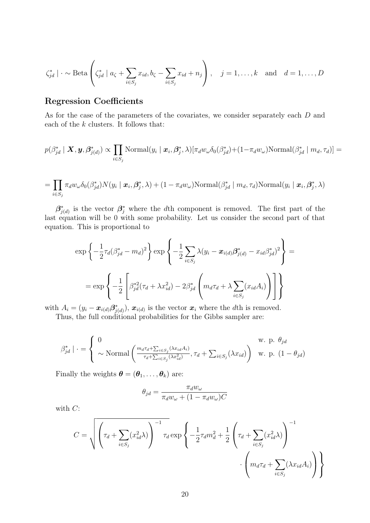$$
\zeta_{jd}^* \mid \cdot \sim \text{Beta}\left(\zeta_{jd}^* \mid a_{\zeta} + \sum_{i \in S_j} x_{id}, b_{\zeta} - \sum_{i \in S_j} x_{id} + n_j\right), \quad j = 1, \dots, k \text{ and } d = 1, \dots, D
$$

## Regression Coefficients

As for the case of the parameters of the covariates, we consider separately each  $D$  and each of the  $k$  clusters. It follows that:

$$
p(\beta_{jd}^* \mid \boldsymbol{X}, \boldsymbol{y}, \boldsymbol{\beta}_{j(d)}^*) \propto \prod_{i \in S_j} \text{Normal}(y_i \mid \boldsymbol{x}_i, \boldsymbol{\beta}_j^*, \lambda) [\pi_d w_{\omega} \delta_0(\beta_{jd}^*) + (1 - \pi_d w_{\omega}) \text{Normal}(\beta_{jd}^* \mid m_d, \tau_d)] =
$$

$$
= \prod_{i \in S_j} \pi_d w_{\omega} \delta_0(\beta_{jd}^*) N(y_i \mid \boldsymbol{x}_i, \boldsymbol{\beta}_j^*, \lambda) + (1 - \pi_d w_{\omega}) \text{Normal}(\beta_{jd}^* \mid m_d, \tau_d) \text{Normal}(y_i \mid \boldsymbol{x}_i, \boldsymbol{\beta}_j^*, \lambda)
$$

 $\beta^*_{j(d)}$  is the vector  $\beta^*_j$  where the dth component is removed. The first part of the last equation will be 0 with some probability. Let us consider the second part of that equation. This is proportional to

$$
\exp\left\{-\frac{1}{2}\tau_d(\beta_{jd}^* - m_d)^2\right\} \exp\left\{-\frac{1}{2}\sum_{i\in S_j}\lambda(y_i - \boldsymbol{x}_{i(d)}\boldsymbol{\beta}_{j(d)}^* - x_{id}\beta_{jd}^*)^2\right\} =
$$

$$
= \exp\left\{-\frac{1}{2}\left[\beta_{jd}^{*2}(\tau_d + \lambda x_{id}^2) - 2\beta_{jd}^*\left(m_d\tau_d + \lambda \sum_{i\in S_j}(x_{id}A_i)\right)\right]\right\}
$$

with  $A_i = (y_i - \boldsymbol{x}_{i(d)} \boldsymbol{\beta}_{j(d)}^*), \boldsymbol{x}_{i(d)}$  is the vector  $\boldsymbol{x}_i$  where the dth is removed.

Thus, the full conditional probabilities for the Gibbs sampler are:

$$
\beta_{jd}^* \mid \cdot = \begin{cases} 0 & \text{w. p. } \theta_{jd} \\ \sim \text{Normal}\left(\frac{m_d \tau_d + \sum_{i \in S_j} (\lambda x_{id} A_i)}{\tau_d + \sum_{i \in S_j} (\lambda x_{id}^2)}, \tau_d + \sum_{i \in S_j} (\lambda x_{id})\right) & \text{w. p. } (1 - \theta_{jd}) \end{cases}
$$

Finally the weights  $\boldsymbol{\theta} = (\boldsymbol{\theta}_1, \dots, \boldsymbol{\theta}_k)$  are:

$$
\theta_{jd} = \frac{\pi_d w_\omega}{\pi_d w_\omega + (1 - \pi_d w_\omega)C}
$$

with C:

$$
C = \sqrt{\left(\tau_d + \sum_{i \in S_j} (x_{id}^2 \lambda) \right)^{-1} \tau_d \exp \left\{-\frac{1}{2}\tau_d m_d^2 + \frac{1}{2} \left(\tau_d + \sum_{i \in S_j} (x_{id}^2 \lambda) \right)^{-1} \cdot \left(m_d \tau_d + \sum_{i \in S_j} (\lambda x_{id} A_i) \right)\right\}}
$$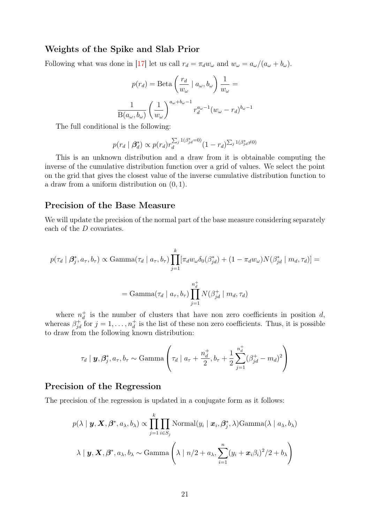## Weights of the Spike and Slab Prior

Following what was done in [\[17\]](#page-22-1) let us call  $r_d = \pi_d w_\omega$  and  $w_\omega = a_\omega/(a_\omega + b_\omega)$ .

$$
p(r_d) = \text{Beta}\left(\frac{r_d}{w_\omega} \mid a_\omega, b_\omega\right) \frac{1}{w_\omega} =
$$

$$
\frac{1}{\text{B}(a_\omega, b_\omega)} \left(\frac{1}{w_\omega}\right)^{a_\omega + b_\omega - 1} r_d^{a_\omega - 1} (w_\omega - r_d)^{b_\omega - 1}
$$

The full conditional is the following:

$$
p(r_d | \beta_d^*) \propto p(r_d) r_d^{\sum_j 1(\beta_{jd}^* = 0)} (1 - r_d)^{\sum_j 1(\beta_{jd}^* \neq 0)}
$$

This is an unknown distribution and a draw from it is obtainable computing the inverse of the cumulative distribution function over a grid of values. We select the point on the grid that gives the closest value of the inverse cumulative distribution function to a draw from a uniform distribution on (0, 1).

## Precision of the Base Measure

We will update the precision of the normal part of the base measure considering separately each of the D covariates.

$$
p(\tau_d \mid \beta_j^*, a_\tau, b_\tau) \propto \text{Gamma}(\tau_d \mid a_\tau, b_\tau) \prod_{j=1}^k [\pi_d w_\omega \delta_0(\beta_{jd}^*) + (1 - \pi_d w_\omega) N(\beta_{jd}^* \mid m_d, \tau_d)] =
$$
  
= \text{Gamma}(\tau\_d \mid a\_\tau, b\_\tau) \prod\_{j=1}^{n\_d^+} N(\beta\_{jd}^+ \mid m\_d, \tau\_d)

where  $n_d^+$  $_d^+$  is the number of clusters that have non zero coefficients in position d, whereas  $\beta_{jd}^+$  for  $j = 1, \ldots, n_d^+$  is the list of these non zero coefficients. Thus, it is possible to draw from the following known distribution:

$$
\tau_d | \mathbf{y}, \beta_j^*, a_\tau, b_\tau \sim \text{Gamma}\left(\tau_d | a_\tau + \frac{n_d^+}{2}, b_\tau + \frac{1}{2} \sum_{j=1}^{n_d^+} (\beta_{jd}^+ - m_d)^2\right)
$$

#### Precision of the Regression

The precision of the regression is updated in a conjugate form as it follows:

$$
p(\lambda \mid \boldsymbol{y}, \boldsymbol{X}, \boldsymbol{\beta}^*, a_\lambda, b_\lambda) \propto \prod_{j=1}^k \prod_{i \in S_j} \text{Normal}(y_i \mid \boldsymbol{x}_i, \boldsymbol{\beta}_j^*, \lambda) \text{Gamma}(\lambda \mid a_\lambda, b_\lambda)
$$

$$
\lambda \mid \boldsymbol{y}, \boldsymbol{X}, \boldsymbol{\beta}^*, a_\lambda, b_\lambda \sim \text{Gamma}\left(\lambda \mid n/2 + a_\lambda, \sum_{i=1}^n (y_i + \boldsymbol{x}_i \beta_i)^2 / 2 + b_\lambda\right)
$$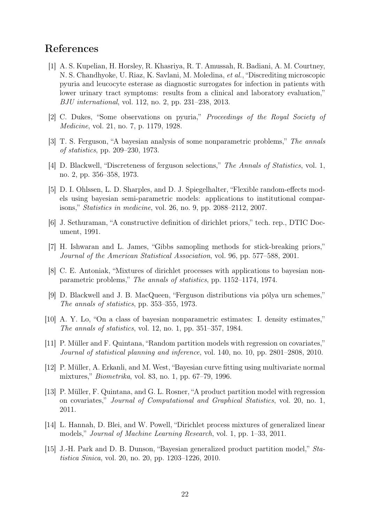# References

- <span id="page-21-0"></span>[1] A. S. Kupelian, H. Horsley, R. Khasriya, R. T. Amussah, R. Badiani, A. M. Courtney, N. S. Chandhyoke, U. Riaz, K. Savlani, M. Moledina, et al., "Discrediting microscopic pyuria and leucocyte esterase as diagnostic surrogates for infection in patients with lower urinary tract symptoms: results from a clinical and laboratory evaluation," BJU international, vol. 112, no. 2, pp. 231–238, 2013.
- <span id="page-21-1"></span>[2] C. Dukes, "Some observations on pyuria," Proceedings of the Royal Society of Medicine, vol. 21, no. 7, p. 1179, 1928.
- <span id="page-21-2"></span>[3] T. S. Ferguson, "A bayesian analysis of some nonparametric problems," The annals of statistics, pp. 209–230, 1973.
- <span id="page-21-3"></span>[4] D. Blackwell, "Discreteness of ferguson selections," The Annals of Statistics, vol. 1, no. 2, pp. 356–358, 1973.
- <span id="page-21-4"></span>[5] D. I. Ohlssen, L. D. Sharples, and D. J. Spiegelhalter, "Flexible random-effects models using bayesian semi-parametric models: applications to institutional comparisons," Statistics in medicine, vol. 26, no. 9, pp. 2088–2112, 2007.
- <span id="page-21-5"></span>[6] J. Sethuraman, "A constructive definition of dirichlet priors," tech. rep., DTIC Document, 1991.
- <span id="page-21-6"></span>[7] H. Ishwaran and L. James, "Gibbs samopling methods for stick-breaking priors," Journal of the American Statistical Association, vol. 96, pp. 577–588, 2001.
- <span id="page-21-7"></span>[8] C. E. Antoniak, "Mixtures of dirichlet processes with applications to bayesian nonparametric problems," The annals of statistics, pp. 1152–1174, 1974.
- <span id="page-21-8"></span>[9] D. Blackwell and J. B. MacQueen, "Ferguson distributions via pólya urn schemes," The annals of statistics, pp. 353–355, 1973.
- <span id="page-21-9"></span>[10] A. Y. Lo, "On a class of bayesian nonparametric estimates: I. density estimates," The annals of statistics, vol. 12, no. 1, pp. 351–357, 1984.
- <span id="page-21-10"></span>[11] P. Müller and F. Quintana, "Random partition models with regression on covariates," Journal of statistical planning and inference, vol. 140, no. 10, pp. 2801–2808, 2010.
- <span id="page-21-11"></span>[12] P. Müller, A. Erkanli, and M. West, "Bayesian curve fitting using multivariate normal mixtures," Biometrika, vol. 83, no. 1, pp. 67–79, 1996.
- <span id="page-21-12"></span>[13] P. Müller, F. Quintana, and G. L. Rosner, "A product partition model with regression on covariates," Journal of Computational and Graphical Statistics, vol. 20, no. 1, 2011.
- <span id="page-21-13"></span>[14] L. Hannah, D. Blei, and W. Powell, "Dirichlet process mixtures of generalized linear models," Journal of Machine Learning Research, vol. 1, pp. 1–33, 2011.
- <span id="page-21-14"></span>[15] J.-H. Park and D. B. Dunson, "Bayesian generalized product partition model," Statistica Sinica, vol. 20, no. 20, pp. 1203–1226, 2010.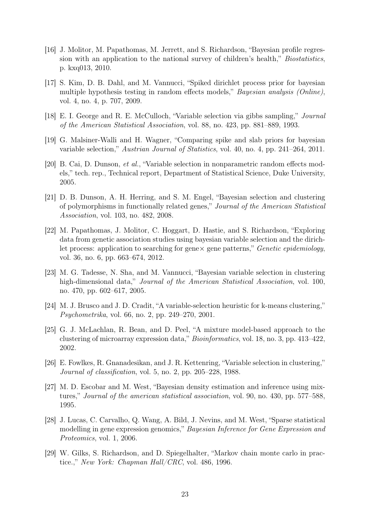- <span id="page-22-0"></span>[16] J. Molitor, M. Papathomas, M. Jerrett, and S. Richardson, "Bayesian profile regression with an application to the national survey of children's health," Biostatistics, p. kxq013, 2010.
- <span id="page-22-1"></span>[17] S. Kim, D. B. Dahl, and M. Vannucci, "Spiked dirichlet process prior for bayesian multiple hypothesis testing in random effects models," Bayesian analysis (Online), vol. 4, no. 4, p. 707, 2009.
- <span id="page-22-2"></span>[18] E. I. George and R. E. McCulloch, "Variable selection via gibbs sampling," Journal of the American Statistical Association, vol. 88, no. 423, pp. 881–889, 1993.
- <span id="page-22-3"></span>[19] G. Malsiner-Walli and H. Wagner, "Comparing spike and slab priors for bayesian variable selection," Austrian Journal of Statistics, vol. 40, no. 4, pp. 241–264, 2011.
- <span id="page-22-4"></span>[20] B. Cai, D. Dunson, et al., "Variable selection in nonparametric random effects models," tech. rep., Technical report, Department of Statistical Science, Duke University, 2005.
- <span id="page-22-5"></span>[21] D. B. Dunson, A. H. Herring, and S. M. Engel, "Bayesian selection and clustering of polymorphisms in functionally related genes," Journal of the American Statistical Association, vol. 103, no. 482, 2008.
- <span id="page-22-6"></span>[22] M. Papathomas, J. Molitor, C. Hoggart, D. Hastie, and S. Richardson, "Exploring data from genetic association studies using bayesian variable selection and the dirichlet process: application to searching for gene $\times$  gene patterns," *Genetic epidemiology*, vol. 36, no. 6, pp. 663–674, 2012.
- <span id="page-22-7"></span>[23] M. G. Tadesse, N. Sha, and M. Vannucci, "Bayesian variable selection in clustering high-dimensional data," *Journal of the American Statistical Association*, vol. 100, no. 470, pp. 602–617, 2005.
- <span id="page-22-8"></span>[24] M. J. Brusco and J. D. Cradit, "A variable-selection heuristic for k-means clustering," Psychometrika, vol. 66, no. 2, pp. 249–270, 2001.
- <span id="page-22-9"></span>[25] G. J. McLachlan, R. Bean, and D. Peel, "A mixture model-based approach to the clustering of microarray expression data," Bioinformatics, vol. 18, no. 3, pp. 413–422, 2002.
- <span id="page-22-10"></span>[26] E. Fowlkes, R. Gnanadesikan, and J. R. Kettenring, "Variable selection in clustering," Journal of classification, vol. 5, no. 2, pp. 205–228, 1988.
- <span id="page-22-11"></span>[27] M. D. Escobar and M. West, "Bayesian density estimation and inference using mixtures," Journal of the american statistical association, vol. 90, no. 430, pp. 577–588, 1995.
- <span id="page-22-12"></span>[28] J. Lucas, C. Carvalho, Q. Wang, A. Bild, J. Nevins, and M. West, "Sparse statistical modelling in gene expression genomics," Bayesian Inference for Gene Expression and Proteomics, vol. 1, 2006.
- <span id="page-22-13"></span>[29] W. Gilks, S. Richardson, and D. Spiegelhalter, "Markov chain monte carlo in practice.," New York: Chapman Hall/CRC, vol. 486, 1996.